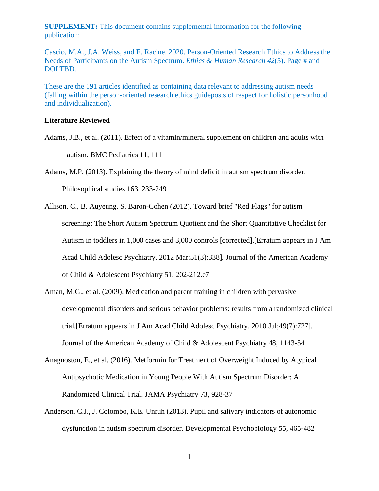**SUPPLEMENT:** This document contains supplemental information for the following publication:

Cascio, M.A., J.A. Weiss, and E. Racine. 2020. Person-Oriented Research Ethics to Address the Needs of Participants on the Autism Spectrum. *Ethics & Human Research 42*(5). Page # and DOI TBD.

These are the 191 articles identified as containing data relevant to addressing autism needs (falling within the person-oriented research ethics guideposts of respect for holistic personhood and individualization).

## **Literature Reviewed**

- Adams, J.B., et al. (2011). Effect of a vitamin/mineral supplement on children and adults with autism. BMC Pediatrics 11, 111
- Adams, M.P. (2013). Explaining the theory of mind deficit in autism spectrum disorder.

Philosophical studies 163, 233-249

- Allison, C., B. Auyeung, S. Baron-Cohen (2012). Toward brief "Red Flags" for autism screening: The Short Autism Spectrum Quotient and the Short Quantitative Checklist for Autism in toddlers in 1,000 cases and 3,000 controls [corrected].[Erratum appears in J Am Acad Child Adolesc Psychiatry. 2012 Mar;51(3):338]. Journal of the American Academy of Child & Adolescent Psychiatry 51, 202-212.e7
- Aman, M.G., et al. (2009). Medication and parent training in children with pervasive developmental disorders and serious behavior problems: results from a randomized clinical trial.[Erratum appears in J Am Acad Child Adolesc Psychiatry. 2010 Jul;49(7):727]. Journal of the American Academy of Child & Adolescent Psychiatry 48, 1143-54
- Anagnostou, E., et al. (2016). Metformin for Treatment of Overweight Induced by Atypical Antipsychotic Medication in Young People With Autism Spectrum Disorder: A Randomized Clinical Trial. JAMA Psychiatry 73, 928-37
- Anderson, C.J., J. Colombo, K.E. Unruh (2013). Pupil and salivary indicators of autonomic dysfunction in autism spectrum disorder. Developmental Psychobiology 55, 465-482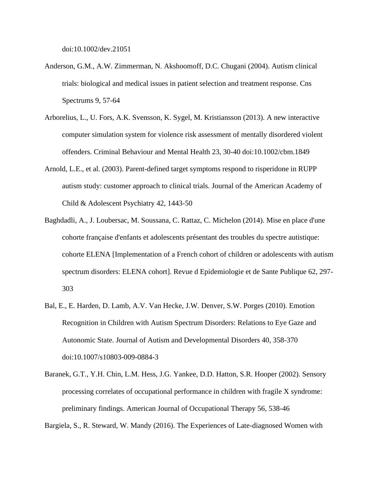doi:10.1002/dev.21051

- Anderson, G.M., A.W. Zimmerman, N. Akshoomoff, D.C. Chugani (2004). Autism clinical trials: biological and medical issues in patient selection and treatment response. Cns Spectrums 9, 57-64
- Arborelius, L., U. Fors, A.K. Svensson, K. Sygel, M. Kristiansson (2013). A new interactive computer simulation system for violence risk assessment of mentally disordered violent offenders. Criminal Behaviour and Mental Health 23, 30-40 doi:10.1002/cbm.1849
- Arnold, L.E., et al. (2003). Parent-defined target symptoms respond to risperidone in RUPP autism study: customer approach to clinical trials. Journal of the American Academy of Child & Adolescent Psychiatry 42, 1443-50
- Baghdadli, A., J. Loubersac, M. Soussana, C. Rattaz, C. Michelon (2014). Mise en place d'une cohorte française d'enfants et adolescents présentant des troubles du spectre autistique: cohorte ELENA [Implementation of a French cohort of children or adolescents with autism spectrum disorders: ELENA cohort]. Revue d Epidemiologie et de Sante Publique 62, 297- 303
- Bal, E., E. Harden, D. Lamb, A.V. Van Hecke, J.W. Denver, S.W. Porges (2010). Emotion Recognition in Children with Autism Spectrum Disorders: Relations to Eye Gaze and Autonomic State. Journal of Autism and Developmental Disorders 40, 358-370 doi:10.1007/s10803-009-0884-3
- Baranek, G.T., Y.H. Chin, L.M. Hess, J.G. Yankee, D.D. Hatton, S.R. Hooper (2002). Sensory processing correlates of occupational performance in children with fragile X syndrome: preliminary findings. American Journal of Occupational Therapy 56, 538-46

Bargiela, S., R. Steward, W. Mandy (2016). The Experiences of Late-diagnosed Women with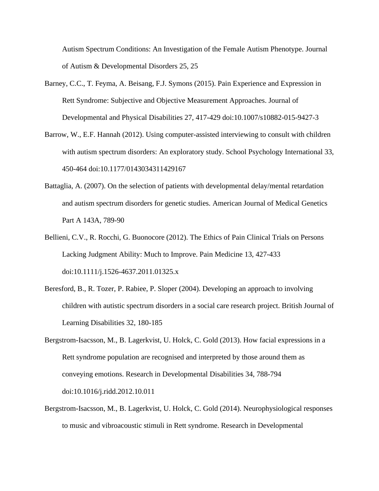Autism Spectrum Conditions: An Investigation of the Female Autism Phenotype. Journal of Autism & Developmental Disorders 25, 25

- Barney, C.C., T. Feyma, A. Beisang, F.J. Symons (2015). Pain Experience and Expression in Rett Syndrome: Subjective and Objective Measurement Approaches. Journal of Developmental and Physical Disabilities 27, 417-429 doi:10.1007/s10882-015-9427-3
- Barrow, W., E.F. Hannah (2012). Using computer-assisted interviewing to consult with children with autism spectrum disorders: An exploratory study. School Psychology International 33, 450-464 doi:10.1177/0143034311429167
- Battaglia, A. (2007). On the selection of patients with developmental delay/mental retardation and autism spectrum disorders for genetic studies. American Journal of Medical Genetics Part A 143A, 789-90
- Bellieni, C.V., R. Rocchi, G. Buonocore (2012). The Ethics of Pain Clinical Trials on Persons Lacking Judgment Ability: Much to Improve. Pain Medicine 13, 427-433 doi:10.1111/j.1526-4637.2011.01325.x
- Beresford, B., R. Tozer, P. Rabiee, P. Sloper (2004). Developing an approach to involving children with autistic spectrum disorders in a social care research project. British Journal of Learning Disabilities 32, 180-185
- Bergstrom-Isacsson, M., B. Lagerkvist, U. Holck, C. Gold (2013). How facial expressions in a Rett syndrome population are recognised and interpreted by those around them as conveying emotions. Research in Developmental Disabilities 34, 788-794 doi:10.1016/j.ridd.2012.10.011
- Bergstrom-Isacsson, M., B. Lagerkvist, U. Holck, C. Gold (2014). Neurophysiological responses to music and vibroacoustic stimuli in Rett syndrome. Research in Developmental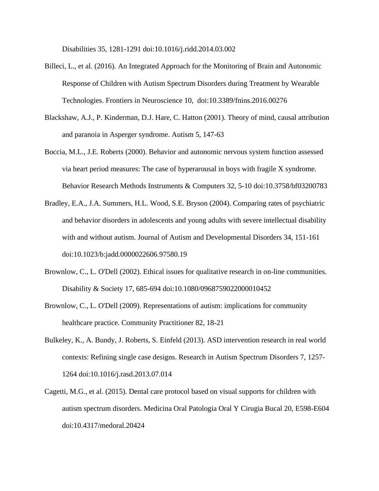Disabilities 35, 1281-1291 doi:10.1016/j.ridd.2014.03.002

- Billeci, L., et al. (2016). An Integrated Approach for the Monitoring of Brain and Autonomic Response of Children with Autism Spectrum Disorders during Treatment by Wearable Technologies. Frontiers in Neuroscience 10, doi:10.3389/fnins.2016.00276
- Blackshaw, A.J., P. Kinderman, D.J. Hare, C. Hatton (2001). Theory of mind, causal attribution and paranoia in Asperger syndrome. Autism 5, 147-63
- Boccia, M.L., J.E. Roberts (2000). Behavior and autonomic nervous system function assessed via heart period measures: The case of hyperarousal in boys with fragile X syndrome. Behavior Research Methods Instruments & Computers 32, 5-10 doi:10.3758/bf03200783
- Bradley, E.A., J.A. Summers, H.L. Wood, S.E. Bryson (2004). Comparing rates of psychiatric and behavior disorders in adolescents and young adults with severe intellectual disability with and without autism. Journal of Autism and Developmental Disorders 34, 151-161 doi:10.1023/b:jadd.0000022606.97580.19
- Brownlow, C., L. O'Dell (2002). Ethical issues for qualitative research in on-line communities. Disability & Society 17, 685-694 doi:10.1080/0968759022000010452
- Brownlow, C., L. O'Dell (2009). Representations of autism: implications for community healthcare practice. Community Practitioner 82, 18-21
- Bulkeley, K., A. Bundy, J. Roberts, S. Einfeld (2013). ASD intervention research in real world contexts: Refining single case designs. Research in Autism Spectrum Disorders 7, 1257- 1264 doi:10.1016/j.rasd.2013.07.014
- Cagetti, M.G., et al. (2015). Dental care protocol based on visual supports for children with autism spectrum disorders. Medicina Oral Patologia Oral Y Cirugia Bucal 20, E598-E604 doi:10.4317/medoral.20424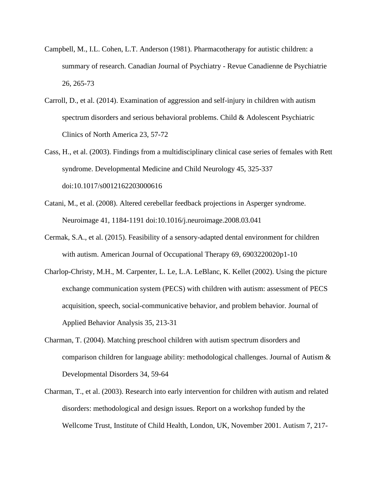- Campbell, M., I.L. Cohen, L.T. Anderson (1981). Pharmacotherapy for autistic children: a summary of research. Canadian Journal of Psychiatry - Revue Canadienne de Psychiatrie 26, 265-73
- Carroll, D., et al. (2014). Examination of aggression and self-injury in children with autism spectrum disorders and serious behavioral problems. Child & Adolescent Psychiatric Clinics of North America 23, 57-72
- Cass, H., et al. (2003). Findings from a multidisciplinary clinical case series of females with Rett syndrome. Developmental Medicine and Child Neurology 45, 325-337 doi:10.1017/s0012162203000616
- Catani, M., et al. (2008). Altered cerebellar feedback projections in Asperger syndrome. Neuroimage 41, 1184-1191 doi:10.1016/j.neuroimage.2008.03.041
- Cermak, S.A., et al. (2015). Feasibility of a sensory-adapted dental environment for children with autism. American Journal of Occupational Therapy 69, 6903220020p1-10
- Charlop-Christy, M.H., M. Carpenter, L. Le, L.A. LeBlanc, K. Kellet (2002). Using the picture exchange communication system (PECS) with children with autism: assessment of PECS acquisition, speech, social-communicative behavior, and problem behavior. Journal of Applied Behavior Analysis 35, 213-31
- Charman, T. (2004). Matching preschool children with autism spectrum disorders and comparison children for language ability: methodological challenges. Journal of Autism & Developmental Disorders 34, 59-64
- Charman, T., et al. (2003). Research into early intervention for children with autism and related disorders: methodological and design issues. Report on a workshop funded by the Wellcome Trust, Institute of Child Health, London, UK, November 2001. Autism 7, 217-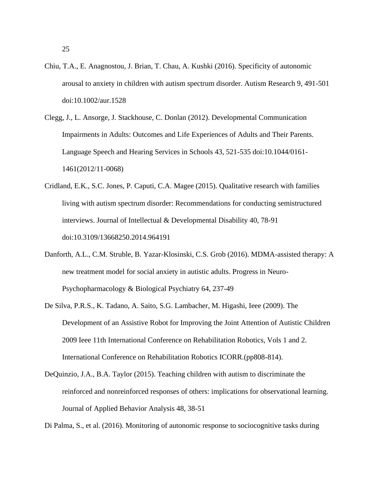25

- Chiu, T.A., E. Anagnostou, J. Brian, T. Chau, A. Kushki (2016). Specificity of autonomic arousal to anxiety in children with autism spectrum disorder. Autism Research 9, 491-501 doi:10.1002/aur.1528
- Clegg, J., L. Ansorge, J. Stackhouse, C. Donlan (2012). Developmental Communication Impairments in Adults: Outcomes and Life Experiences of Adults and Their Parents. Language Speech and Hearing Services in Schools 43, 521-535 doi:10.1044/0161- 1461(2012/11-0068)
- Cridland, E.K., S.C. Jones, P. Caputi, C.A. Magee (2015). Qualitative research with families living with autism spectrum disorder: Recommendations for conducting semistructured interviews. Journal of Intellectual & Developmental Disability 40, 78-91 doi:10.3109/13668250.2014.964191
- Danforth, A.L., C.M. Struble, B. Yazar-Klosinski, C.S. Grob (2016). MDMA-assisted therapy: A new treatment model for social anxiety in autistic adults. Progress in Neuro-Psychopharmacology & Biological Psychiatry 64, 237-49
- De Silva, P.R.S., K. Tadano, A. Saito, S.G. Lambacher, M. Higashi, Ieee (2009). The Development of an Assistive Robot for Improving the Joint Attention of Autistic Children 2009 Ieee 11th International Conference on Rehabilitation Robotics, Vols 1 and 2. International Conference on Rehabilitation Robotics ICORR.(pp808-814).
- DeQuinzio, J.A., B.A. Taylor (2015). Teaching children with autism to discriminate the reinforced and nonreinforced responses of others: implications for observational learning. Journal of Applied Behavior Analysis 48, 38-51

Di Palma, S., et al. (2016). Monitoring of autonomic response to sociocognitive tasks during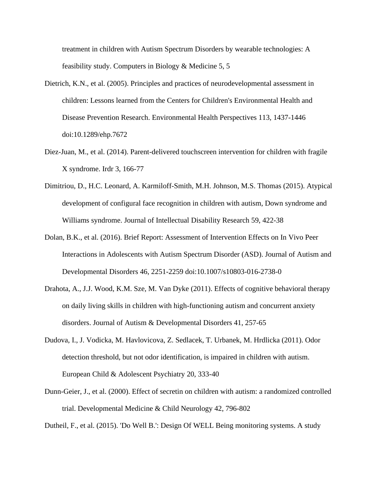treatment in children with Autism Spectrum Disorders by wearable technologies: A feasibility study. Computers in Biology & Medicine 5, 5

- Dietrich, K.N., et al. (2005). Principles and practices of neurodevelopmental assessment in children: Lessons learned from the Centers for Children's Environmental Health and Disease Prevention Research. Environmental Health Perspectives 113, 1437-1446 doi:10.1289/ehp.7672
- Diez-Juan, M., et al. (2014). Parent-delivered touchscreen intervention for children with fragile X syndrome. Irdr 3, 166-77
- Dimitriou, D., H.C. Leonard, A. Karmiloff-Smith, M.H. Johnson, M.S. Thomas (2015). Atypical development of configural face recognition in children with autism, Down syndrome and Williams syndrome. Journal of Intellectual Disability Research 59, 422-38
- Dolan, B.K., et al. (2016). Brief Report: Assessment of Intervention Effects on In Vivo Peer Interactions in Adolescents with Autism Spectrum Disorder (ASD). Journal of Autism and Developmental Disorders 46, 2251-2259 doi:10.1007/s10803-016-2738-0
- Drahota, A., J.J. Wood, K.M. Sze, M. Van Dyke (2011). Effects of cognitive behavioral therapy on daily living skills in children with high-functioning autism and concurrent anxiety disorders. Journal of Autism & Developmental Disorders 41, 257-65
- Dudova, I., J. Vodicka, M. Havlovicova, Z. Sedlacek, T. Urbanek, M. Hrdlicka (2011). Odor detection threshold, but not odor identification, is impaired in children with autism. European Child & Adolescent Psychiatry 20, 333-40
- Dunn-Geier, J., et al. (2000). Effect of secretin on children with autism: a randomized controlled trial. Developmental Medicine & Child Neurology 42, 796-802

Dutheil, F., et al. (2015). 'Do Well B.': Design Of WELL Being monitoring systems. A study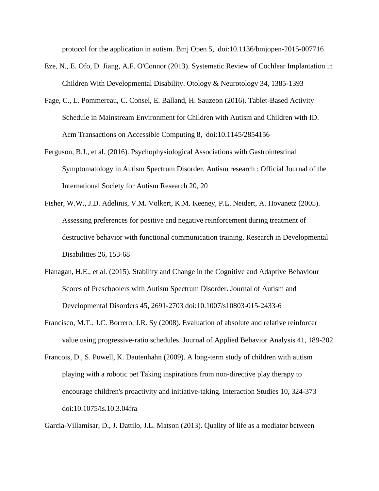protocol for the application in autism. Bmj Open 5, doi:10.1136/bmjopen-2015-007716

- Eze, N., E. Ofo, D. Jiang, A.F. O'Connor (2013). Systematic Review of Cochlear Implantation in Children With Developmental Disability. Otology & Neurotology 34, 1385-1393
- Fage, C., L. Pommereau, C. Consel, E. Balland, H. Sauzeon (2016). Tablet-Based Activity Schedule in Mainstream Environment for Children with Autism and Children with ID. Acm Transactions on Accessible Computing 8, doi:10.1145/2854156
- Ferguson, B.J., et al. (2016). Psychophysiological Associations with Gastrointestinal Symptomatology in Autism Spectrum Disorder. Autism research : Official Journal of the International Society for Autism Research 20, 20
- Fisher, W.W., J.D. Adelinis, V.M. Volkert, K.M. Keeney, P.L. Neidert, A. Hovanetz (2005). Assessing preferences for positive and negative reinforcement during treatment of destructive behavior with functional communication training. Research in Developmental Disabilities 26, 153-68
- Flanagan, H.E., et al. (2015). Stability and Change in the Cognitive and Adaptive Behaviour Scores of Preschoolers with Autism Spectrum Disorder. Journal of Autism and Developmental Disorders 45, 2691-2703 doi:10.1007/s10803-015-2433-6
- Francisco, M.T., J.C. Borrero, J.R. Sy (2008). Evaluation of absolute and relative reinforcer value using progressive-ratio schedules. Journal of Applied Behavior Analysis 41, 189-202
- Francois, D., S. Powell, K. Dautenhahn (2009). A long-term study of children with autism playing with a robotic pet Taking inspirations from non-directive play therapy to encourage children's proactivity and initiative-taking. Interaction Studies 10, 324-373 doi:10.1075/is.10.3.04fra

Garcia-Villamisar, D., J. Dattilo, J.L. Matson (2013). Quality of life as a mediator between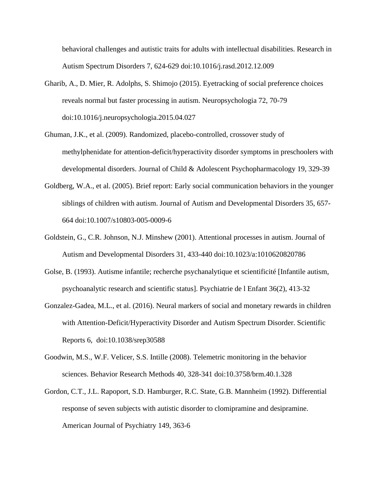behavioral challenges and autistic traits for adults with intellectual disabilities. Research in Autism Spectrum Disorders 7, 624-629 doi:10.1016/j.rasd.2012.12.009

- Gharib, A., D. Mier, R. Adolphs, S. Shimojo (2015). Eyetracking of social preference choices reveals normal but faster processing in autism. Neuropsychologia 72, 70-79 doi:10.1016/j.neuropsychologia.2015.04.027
- Ghuman, J.K., et al. (2009). Randomized, placebo-controlled, crossover study of methylphenidate for attention-deficit/hyperactivity disorder symptoms in preschoolers with developmental disorders. Journal of Child & Adolescent Psychopharmacology 19, 329-39
- Goldberg, W.A., et al. (2005). Brief report: Early social communication behaviors in the younger siblings of children with autism. Journal of Autism and Developmental Disorders 35, 657- 664 doi:10.1007/s10803-005-0009-6
- Goldstein, G., C.R. Johnson, N.J. Minshew (2001). Attentional processes in autism. Journal of Autism and Developmental Disorders 31, 433-440 doi:10.1023/a:1010620820786
- Golse, B. (1993). Autisme infantile; recherche psychanalytique et scientificité [Infantile autism, psychoanalytic research and scientific status]. Psychiatrie de l Enfant 36(2), 413-32
- Gonzalez-Gadea, M.L., et al. (2016). Neural markers of social and monetary rewards in children with Attention-Deficit/Hyperactivity Disorder and Autism Spectrum Disorder. Scientific Reports 6, doi:10.1038/srep30588
- Goodwin, M.S., W.F. Velicer, S.S. Intille (2008). Telemetric monitoring in the behavior sciences. Behavior Research Methods 40, 328-341 doi:10.3758/brm.40.1.328
- Gordon, C.T., J.L. Rapoport, S.D. Hamburger, R.C. State, G.B. Mannheim (1992). Differential response of seven subjects with autistic disorder to clomipramine and desipramine. American Journal of Psychiatry 149, 363-6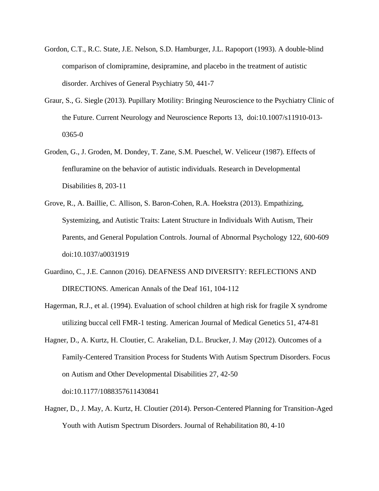- Gordon, C.T., R.C. State, J.E. Nelson, S.D. Hamburger, J.L. Rapoport (1993). A double-blind comparison of clomipramine, desipramine, and placebo in the treatment of autistic disorder. Archives of General Psychiatry 50, 441-7
- Graur, S., G. Siegle (2013). Pupillary Motility: Bringing Neuroscience to the Psychiatry Clinic of the Future. Current Neurology and Neuroscience Reports 13, doi:10.1007/s11910-013- 0365-0
- Groden, G., J. Groden, M. Dondey, T. Zane, S.M. Pueschel, W. Veliceur (1987). Effects of fenfluramine on the behavior of autistic individuals. Research in Developmental Disabilities 8, 203-11
- Grove, R., A. Baillie, C. Allison, S. Baron-Cohen, R.A. Hoekstra (2013). Empathizing, Systemizing, and Autistic Traits: Latent Structure in Individuals With Autism, Their Parents, and General Population Controls. Journal of Abnormal Psychology 122, 600-609 doi:10.1037/a0031919
- Guardino, C., J.E. Cannon (2016). DEAFNESS AND DIVERSITY: REFLECTIONS AND DIRECTIONS. American Annals of the Deaf 161, 104-112
- Hagerman, R.J., et al. (1994). Evaluation of school children at high risk for fragile X syndrome utilizing buccal cell FMR-1 testing. American Journal of Medical Genetics 51, 474-81
- Hagner, D., A. Kurtz, H. Cloutier, C. Arakelian, D.L. Brucker, J. May (2012). Outcomes of a Family-Centered Transition Process for Students With Autism Spectrum Disorders. Focus on Autism and Other Developmental Disabilities 27, 42-50 doi:10.1177/1088357611430841
- Hagner, D., J. May, A. Kurtz, H. Cloutier (2014). Person-Centered Planning for Transition-Aged Youth with Autism Spectrum Disorders. Journal of Rehabilitation 80, 4-10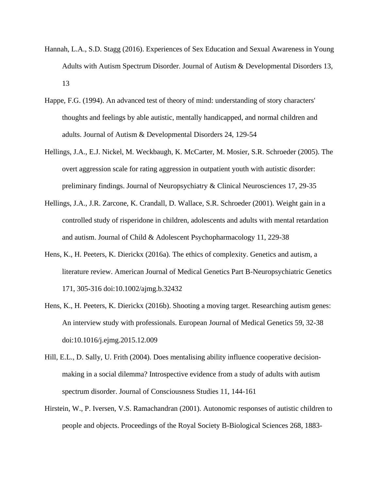- Hannah, L.A., S.D. Stagg (2016). Experiences of Sex Education and Sexual Awareness in Young Adults with Autism Spectrum Disorder. Journal of Autism & Developmental Disorders 13, 13
- Happe, F.G. (1994). An advanced test of theory of mind: understanding of story characters' thoughts and feelings by able autistic, mentally handicapped, and normal children and adults. Journal of Autism & Developmental Disorders 24, 129-54
- Hellings, J.A., E.J. Nickel, M. Weckbaugh, K. McCarter, M. Mosier, S.R. Schroeder (2005). The overt aggression scale for rating aggression in outpatient youth with autistic disorder: preliminary findings. Journal of Neuropsychiatry & Clinical Neurosciences 17, 29-35
- Hellings, J.A., J.R. Zarcone, K. Crandall, D. Wallace, S.R. Schroeder (2001). Weight gain in a controlled study of risperidone in children, adolescents and adults with mental retardation and autism. Journal of Child & Adolescent Psychopharmacology 11, 229-38
- Hens, K., H. Peeters, K. Dierickx (2016a). The ethics of complexity. Genetics and autism, a literature review. American Journal of Medical Genetics Part B-Neuropsychiatric Genetics 171, 305-316 doi:10.1002/ajmg.b.32432
- Hens, K., H. Peeters, K. Dierickx (2016b). Shooting a moving target. Researching autism genes: An interview study with professionals. European Journal of Medical Genetics 59, 32-38 doi:10.1016/j.ejmg.2015.12.009
- Hill, E.L., D. Sally, U. Frith (2004). Does mentalising ability influence cooperative decisionmaking in a social dilemma? Introspective evidence from a study of adults with autism spectrum disorder. Journal of Consciousness Studies 11, 144-161
- Hirstein, W., P. Iversen, V.S. Ramachandran (2001). Autonomic responses of autistic children to people and objects. Proceedings of the Royal Society B-Biological Sciences 268, 1883-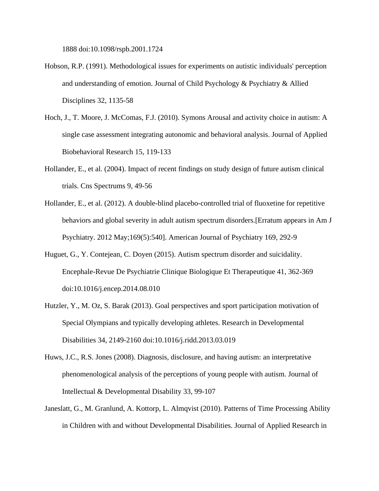1888 doi:10.1098/rspb.2001.1724

- Hobson, R.P. (1991). Methodological issues for experiments on autistic individuals' perception and understanding of emotion. Journal of Child Psychology & Psychiatry & Allied Disciplines 32, 1135-58
- Hoch, J., T. Moore, J. McComas, F.J. (2010). Symons Arousal and activity choice in autism: A single case assessment integrating autonomic and behavioral analysis. Journal of Applied Biobehavioral Research 15, 119-133
- Hollander, E., et al. (2004). Impact of recent findings on study design of future autism clinical trials. Cns Spectrums 9, 49-56
- Hollander, E., et al. (2012). A double-blind placebo-controlled trial of fluoxetine for repetitive behaviors and global severity in adult autism spectrum disorders.[Erratum appears in Am J Psychiatry. 2012 May;169(5):540]. American Journal of Psychiatry 169, 292-9
- Huguet, G., Y. Contejean, C. Doyen (2015). Autism spectrum disorder and suicidality. Encephale-Revue De Psychiatrie Clinique Biologique Et Therapeutique 41, 362-369 doi:10.1016/j.encep.2014.08.010
- Hutzler, Y., M. Oz, S. Barak (2013). Goal perspectives and sport participation motivation of Special Olympians and typically developing athletes. Research in Developmental Disabilities 34, 2149-2160 doi:10.1016/j.ridd.2013.03.019
- Huws, J.C., R.S. Jones (2008). Diagnosis, disclosure, and having autism: an interpretative phenomenological analysis of the perceptions of young people with autism. Journal of Intellectual & Developmental Disability 33, 99-107
- Janeslatt, G., M. Granlund, A. Kottorp, L. Almqvist (2010). Patterns of Time Processing Ability in Children with and without Developmental Disabilities. Journal of Applied Research in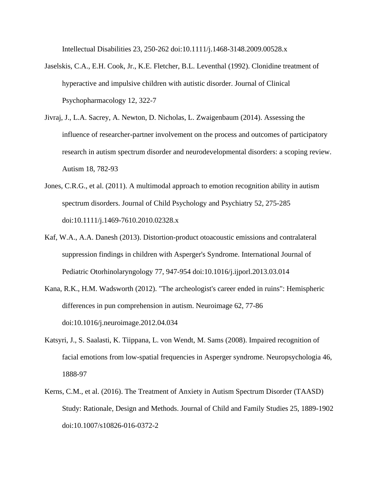Intellectual Disabilities 23, 250-262 doi:10.1111/j.1468-3148.2009.00528.x

- Jaselskis, C.A., E.H. Cook, Jr., K.E. Fletcher, B.L. Leventhal (1992). Clonidine treatment of hyperactive and impulsive children with autistic disorder. Journal of Clinical Psychopharmacology 12, 322-7
- Jivraj, J., L.A. Sacrey, A. Newton, D. Nicholas, L. Zwaigenbaum (2014). Assessing the influence of researcher-partner involvement on the process and outcomes of participatory research in autism spectrum disorder and neurodevelopmental disorders: a scoping review. Autism 18, 782-93
- Jones, C.R.G., et al. (2011). A multimodal approach to emotion recognition ability in autism spectrum disorders. Journal of Child Psychology and Psychiatry 52, 275-285 doi:10.1111/j.1469-7610.2010.02328.x
- Kaf, W.A., A.A. Danesh (2013). Distortion-product otoacoustic emissions and contralateral suppression findings in children with Asperger's Syndrome. International Journal of Pediatric Otorhinolaryngology 77, 947-954 doi:10.1016/j.ijporl.2013.03.014
- Kana, R.K., H.M. Wadsworth (2012). "The archeologist's career ended in ruins": Hemispheric differences in pun comprehension in autism. Neuroimage 62, 77-86 doi:10.1016/j.neuroimage.2012.04.034
- Katsyri, J., S. Saalasti, K. Tiippana, L. von Wendt, M. Sams (2008). Impaired recognition of facial emotions from low-spatial frequencies in Asperger syndrome. Neuropsychologia 46, 1888-97
- Kerns, C.M., et al. (2016). The Treatment of Anxiety in Autism Spectrum Disorder (TAASD) Study: Rationale, Design and Methods. Journal of Child and Family Studies 25, 1889-1902 doi:10.1007/s10826-016-0372-2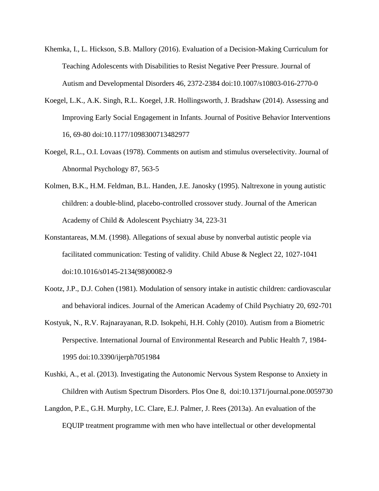- Khemka, I., L. Hickson, S.B. Mallory (2016). Evaluation of a Decision-Making Curriculum for Teaching Adolescents with Disabilities to Resist Negative Peer Pressure. Journal of Autism and Developmental Disorders 46, 2372-2384 doi:10.1007/s10803-016-2770-0
- Koegel, L.K., A.K. Singh, R.L. Koegel, J.R. Hollingsworth, J. Bradshaw (2014). Assessing and Improving Early Social Engagement in Infants. Journal of Positive Behavior Interventions 16, 69-80 doi:10.1177/1098300713482977
- Koegel, R.L., O.I. Lovaas (1978). Comments on autism and stimulus overselectivity. Journal of Abnormal Psychology 87, 563-5
- Kolmen, B.K., H.M. Feldman, B.L. Handen, J.E. Janosky (1995). Naltrexone in young autistic children: a double-blind, placebo-controlled crossover study. Journal of the American Academy of Child & Adolescent Psychiatry 34, 223-31
- Konstantareas, M.M. (1998). Allegations of sexual abuse by nonverbal autistic people via facilitated communication: Testing of validity. Child Abuse & Neglect 22, 1027-1041 doi:10.1016/s0145-2134(98)00082-9
- Kootz, J.P., D.J. Cohen (1981). Modulation of sensory intake in autistic children: cardiovascular and behavioral indices. Journal of the American Academy of Child Psychiatry 20, 692-701
- Kostyuk, N., R.V. Rajnarayanan, R.D. Isokpehi, H.H. Cohly (2010). Autism from a Biometric Perspective. International Journal of Environmental Research and Public Health 7, 1984- 1995 doi:10.3390/ijerph7051984
- Kushki, A., et al. (2013). Investigating the Autonomic Nervous System Response to Anxiety in Children with Autism Spectrum Disorders. Plos One 8, doi:10.1371/journal.pone.0059730
- Langdon, P.E., G.H. Murphy, I.C. Clare, E.J. Palmer, J. Rees (2013a). An evaluation of the EQUIP treatment programme with men who have intellectual or other developmental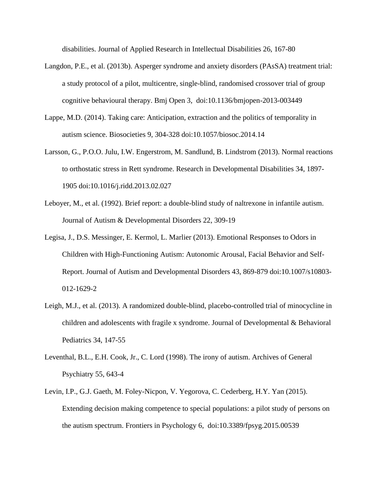disabilities. Journal of Applied Research in Intellectual Disabilities 26, 167-80

- Langdon, P.E., et al. (2013b). Asperger syndrome and anxiety disorders (PAsSA) treatment trial: a study protocol of a pilot, multicentre, single-blind, randomised crossover trial of group cognitive behavioural therapy. Bmj Open 3, doi:10.1136/bmjopen-2013-003449
- Lappe, M.D. (2014). Taking care: Anticipation, extraction and the politics of temporality in autism science. Biosocieties 9, 304-328 doi:10.1057/biosoc.2014.14
- Larsson, G., P.O.O. Julu, I.W. Engerstrom, M. Sandlund, B. Lindstrom (2013). Normal reactions to orthostatic stress in Rett syndrome. Research in Developmental Disabilities 34, 1897- 1905 doi:10.1016/j.ridd.2013.02.027
- Leboyer, M., et al. (1992). Brief report: a double-blind study of naltrexone in infantile autism. Journal of Autism & Developmental Disorders 22, 309-19
- Legisa, J., D.S. Messinger, E. Kermol, L. Marlier (2013). Emotional Responses to Odors in Children with High-Functioning Autism: Autonomic Arousal, Facial Behavior and Self-Report. Journal of Autism and Developmental Disorders 43, 869-879 doi:10.1007/s10803- 012-1629-2
- Leigh, M.J., et al. (2013). A randomized double-blind, placebo-controlled trial of minocycline in children and adolescents with fragile x syndrome. Journal of Developmental & Behavioral Pediatrics 34, 147-55
- Leventhal, B.L., E.H. Cook, Jr., C. Lord (1998). The irony of autism. Archives of General Psychiatry 55, 643-4
- Levin, I.P., G.J. Gaeth, M. Foley-Nicpon, V. Yegorova, C. Cederberg, H.Y. Yan (2015). Extending decision making competence to special populations: a pilot study of persons on the autism spectrum. Frontiers in Psychology 6, doi:10.3389/fpsyg.2015.00539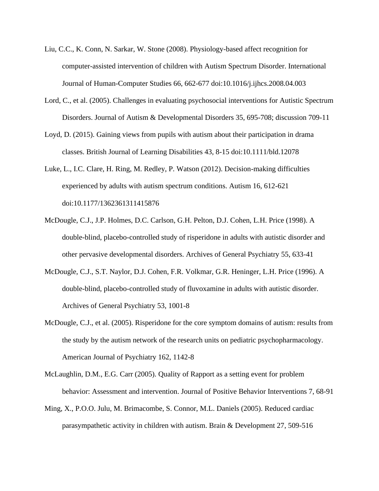- Liu, C.C., K. Conn, N. Sarkar, W. Stone (2008). Physiology-based affect recognition for computer-assisted intervention of children with Autism Spectrum Disorder. International Journal of Human-Computer Studies 66, 662-677 doi:10.1016/j.ijhcs.2008.04.003
- Lord, C., et al. (2005). Challenges in evaluating psychosocial interventions for Autistic Spectrum Disorders. Journal of Autism & Developmental Disorders 35, 695-708; discussion 709-11
- Loyd, D. (2015). Gaining views from pupils with autism about their participation in drama classes. British Journal of Learning Disabilities 43, 8-15 doi:10.1111/bld.12078
- Luke, L., I.C. Clare, H. Ring, M. Redley, P. Watson (2012). Decision-making difficulties experienced by adults with autism spectrum conditions. Autism 16, 612-621 doi:10.1177/1362361311415876
- McDougle, C.J., J.P. Holmes, D.C. Carlson, G.H. Pelton, D.J. Cohen, L.H. Price (1998). A double-blind, placebo-controlled study of risperidone in adults with autistic disorder and other pervasive developmental disorders. Archives of General Psychiatry 55, 633-41
- McDougle, C.J., S.T. Naylor, D.J. Cohen, F.R. Volkmar, G.R. Heninger, L.H. Price (1996). A double-blind, placebo-controlled study of fluvoxamine in adults with autistic disorder. Archives of General Psychiatry 53, 1001-8
- McDougle, C.J., et al. (2005). Risperidone for the core symptom domains of autism: results from the study by the autism network of the research units on pediatric psychopharmacology. American Journal of Psychiatry 162, 1142-8
- McLaughlin, D.M., E.G. Carr (2005). Quality of Rapport as a setting event for problem behavior: Assessment and intervention. Journal of Positive Behavior Interventions 7, 68-91
- Ming, X., P.O.O. Julu, M. Brimacombe, S. Connor, M.L. Daniels (2005). Reduced cardiac parasympathetic activity in children with autism. Brain & Development 27, 509-516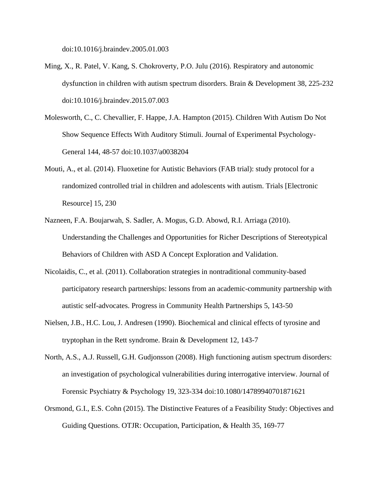doi:10.1016/j.braindev.2005.01.003

- Ming, X., R. Patel, V. Kang, S. Chokroverty, P.O. Julu (2016). Respiratory and autonomic dysfunction in children with autism spectrum disorders. Brain & Development 38, 225-232 doi:10.1016/j.braindev.2015.07.003
- Molesworth, C., C. Chevallier, F. Happe, J.A. Hampton (2015). Children With Autism Do Not Show Sequence Effects With Auditory Stimuli. Journal of Experimental Psychology-General 144, 48-57 doi:10.1037/a0038204
- Mouti, A., et al. (2014). Fluoxetine for Autistic Behaviors (FAB trial): study protocol for a randomized controlled trial in children and adolescents with autism. Trials [Electronic Resource] 15, 230
- Nazneen, F.A. Boujarwah, S. Sadler, A. Mogus, G.D. Abowd, R.I. Arriaga (2010). Understanding the Challenges and Opportunities for Richer Descriptions of Stereotypical Behaviors of Children with ASD A Concept Exploration and Validation.
- Nicolaidis, C., et al. (2011). Collaboration strategies in nontraditional community-based participatory research partnerships: lessons from an academic-community partnership with autistic self-advocates. Progress in Community Health Partnerships 5, 143-50
- Nielsen, J.B., H.C. Lou, J. Andresen (1990). Biochemical and clinical effects of tyrosine and tryptophan in the Rett syndrome. Brain & Development 12, 143-7
- North, A.S., A.J. Russell, G.H. Gudjonsson (2008). High functioning autism spectrum disorders: an investigation of psychological vulnerabilities during interrogative interview. Journal of Forensic Psychiatry & Psychology 19, 323-334 doi:10.1080/14789940701871621
- Orsmond, G.I., E.S. Cohn (2015). The Distinctive Features of a Feasibility Study: Objectives and Guiding Questions. OTJR: Occupation, Participation, & Health 35, 169-77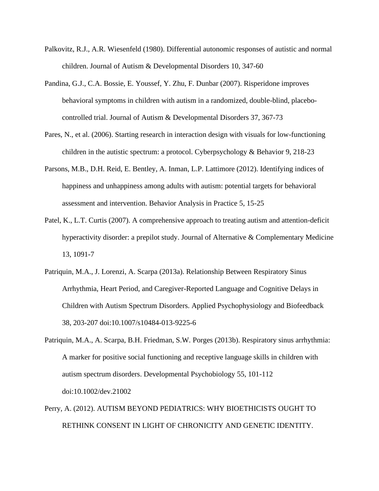- Palkovitz, R.J., A.R. Wiesenfeld (1980). Differential autonomic responses of autistic and normal children. Journal of Autism & Developmental Disorders 10, 347-60
- Pandina, G.J., C.A. Bossie, E. Youssef, Y. Zhu, F. Dunbar (2007). Risperidone improves behavioral symptoms in children with autism in a randomized, double-blind, placebocontrolled trial. Journal of Autism & Developmental Disorders 37, 367-73
- Pares, N., et al. (2006). Starting research in interaction design with visuals for low-functioning children in the autistic spectrum: a protocol. Cyberpsychology & Behavior 9, 218-23
- Parsons, M.B., D.H. Reid, E. Bentley, A. Inman, L.P. Lattimore (2012). Identifying indices of happiness and unhappiness among adults with autism: potential targets for behavioral assessment and intervention. Behavior Analysis in Practice 5, 15-25
- Patel, K., L.T. Curtis (2007). A comprehensive approach to treating autism and attention-deficit hyperactivity disorder: a prepilot study. Journal of Alternative & Complementary Medicine 13, 1091-7
- Patriquin, M.A., J. Lorenzi, A. Scarpa (2013a). Relationship Between Respiratory Sinus Arrhythmia, Heart Period, and Caregiver-Reported Language and Cognitive Delays in Children with Autism Spectrum Disorders. Applied Psychophysiology and Biofeedback 38, 203-207 doi:10.1007/s10484-013-9225-6
- Patriquin, M.A., A. Scarpa, B.H. Friedman, S.W. Porges (2013b). Respiratory sinus arrhythmia: A marker for positive social functioning and receptive language skills in children with autism spectrum disorders. Developmental Psychobiology 55, 101-112 doi:10.1002/dev.21002
- Perry, A. (2012). AUTISM BEYOND PEDIATRICS: WHY BIOETHICISTS OUGHT TO RETHINK CONSENT IN LIGHT OF CHRONICITY AND GENETIC IDENTITY.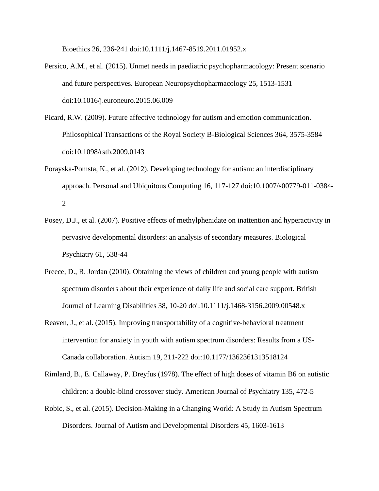Bioethics 26, 236-241 doi:10.1111/j.1467-8519.2011.01952.x

- Persico, A.M., et al. (2015). Unmet needs in paediatric psychopharmacology: Present scenario and future perspectives. European Neuropsychopharmacology 25, 1513-1531 doi:10.1016/j.euroneuro.2015.06.009
- Picard, R.W. (2009). Future affective technology for autism and emotion communication. Philosophical Transactions of the Royal Society B-Biological Sciences 364, 3575-3584 doi:10.1098/rstb.2009.0143
- Porayska-Pomsta, K., et al. (2012). Developing technology for autism: an interdisciplinary approach. Personal and Ubiquitous Computing 16, 117-127 doi:10.1007/s00779-011-0384- 2
- Posey, D.J., et al. (2007). Positive effects of methylphenidate on inattention and hyperactivity in pervasive developmental disorders: an analysis of secondary measures. Biological Psychiatry 61, 538-44
- Preece, D., R. Jordan (2010). Obtaining the views of children and young people with autism spectrum disorders about their experience of daily life and social care support. British Journal of Learning Disabilities 38, 10-20 doi:10.1111/j.1468-3156.2009.00548.x
- Reaven, J., et al. (2015). Improving transportability of a cognitive-behavioral treatment intervention for anxiety in youth with autism spectrum disorders: Results from a US-Canada collaboration. Autism 19, 211-222 doi:10.1177/1362361313518124
- Rimland, B., E. Callaway, P. Dreyfus (1978). The effect of high doses of vitamin B6 on autistic children: a double-blind crossover study. American Journal of Psychiatry 135, 472-5
- Robic, S., et al. (2015). Decision-Making in a Changing World: A Study in Autism Spectrum Disorders. Journal of Autism and Developmental Disorders 45, 1603-1613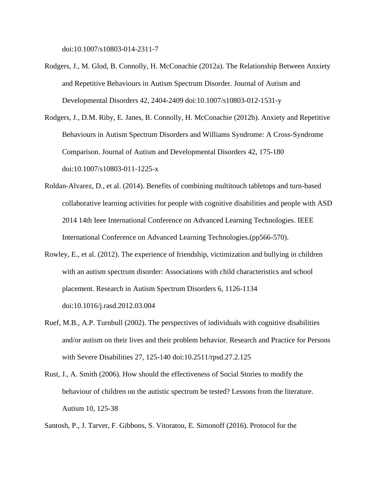doi:10.1007/s10803-014-2311-7

- Rodgers, J., M. Glod, B. Connolly, H. McConachie (2012a). The Relationship Between Anxiety and Repetitive Behaviours in Autism Spectrum Disorder. Journal of Autism and Developmental Disorders 42, 2404-2409 doi:10.1007/s10803-012-1531-y
- Rodgers, J., D.M. Riby, E. Janes, B. Connolly, H. McConachie (2012b). Anxiety and Repetitive Behaviours in Autism Spectrum Disorders and Williams Syndrome: A Cross-Syndrome Comparison. Journal of Autism and Developmental Disorders 42, 175-180 doi:10.1007/s10803-011-1225-x
- Roldan-Alvarez, D., et al. (2014). Benefits of combining multitouch tabletops and turn-based collaborative learning activities for people with cognitive disabilities and people with ASD 2014 14th Ieee International Conference on Advanced Learning Technologies. IEEE International Conference on Advanced Learning Technologies.(pp566-570).
- Rowley, E., et al. (2012). The experience of friendship, victimization and bullying in children with an autism spectrum disorder: Associations with child characteristics and school placement. Research in Autism Spectrum Disorders 6, 1126-1134 doi:10.1016/j.rasd.2012.03.004
- Ruef, M.B., A.P. Turnbull (2002). The perspectives of individuals with cognitive disabilities and/or autism on their lives and their problem behavior. Research and Practice for Persons with Severe Disabilities 27, 125-140 doi:10.2511/rpsd.27.2.125
- Rust, J., A. Smith (2006). How should the effectiveness of Social Stories to modify the behaviour of children on the autistic spectrum be tested? Lessons from the literature. Autism 10, 125-38

Santosh, P., J. Tarver, F. Gibbons, S. Vitoratou, E. Simonoff (2016). Protocol for the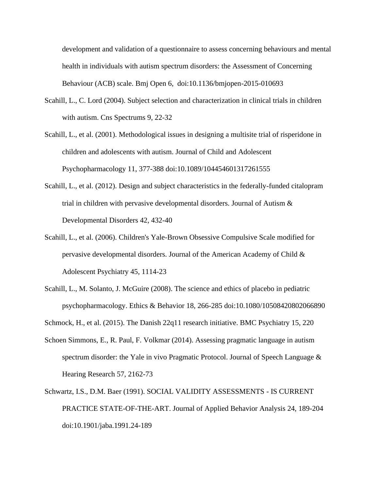development and validation of a questionnaire to assess concerning behaviours and mental health in individuals with autism spectrum disorders: the Assessment of Concerning Behaviour (ACB) scale. Bmj Open 6, doi:10.1136/bmjopen-2015-010693

- Scahill, L., C. Lord (2004). Subject selection and characterization in clinical trials in children with autism. Cns Spectrums 9, 22-32
- Scahill, L., et al. (2001). Methodological issues in designing a multisite trial of risperidone in children and adolescents with autism. Journal of Child and Adolescent Psychopharmacology 11, 377-388 doi:10.1089/104454601317261555
- Scahill, L., et al. (2012). Design and subject characteristics in the federally-funded citalopram trial in children with pervasive developmental disorders. Journal of Autism & Developmental Disorders 42, 432-40
- Scahill, L., et al. (2006). Children's Yale-Brown Obsessive Compulsive Scale modified for pervasive developmental disorders. Journal of the American Academy of Child & Adolescent Psychiatry 45, 1114-23
- Scahill, L., M. Solanto, J. McGuire (2008). The science and ethics of placebo in pediatric psychopharmacology. Ethics & Behavior 18, 266-285 doi:10.1080/10508420802066890
- Schmock, H., et al. (2015). The Danish 22q11 research initiative. BMC Psychiatry 15, 220
- Schoen Simmons, E., R. Paul, F. Volkmar (2014). Assessing pragmatic language in autism spectrum disorder: the Yale in vivo Pragmatic Protocol. Journal of Speech Language & Hearing Research 57, 2162-73
- Schwartz, I.S., D.M. Baer (1991). SOCIAL VALIDITY ASSESSMENTS IS CURRENT PRACTICE STATE-OF-THE-ART. Journal of Applied Behavior Analysis 24, 189-204 doi:10.1901/jaba.1991.24-189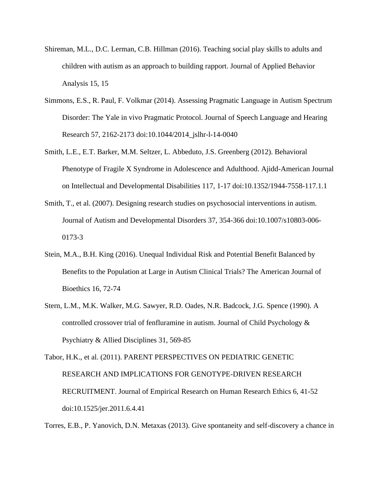- Shireman, M.L., D.C. Lerman, C.B. Hillman (2016). Teaching social play skills to adults and children with autism as an approach to building rapport. Journal of Applied Behavior Analysis 15, 15
- Simmons, E.S., R. Paul, F. Volkmar (2014). Assessing Pragmatic Language in Autism Spectrum Disorder: The Yale in vivo Pragmatic Protocol. Journal of Speech Language and Hearing Research 57, 2162-2173 doi:10.1044/2014\_jslhr-l-14-0040
- Smith, L.E., E.T. Barker, M.M. Seltzer, L. Abbeduto, J.S. Greenberg (2012). Behavioral Phenotype of Fragile X Syndrome in Adolescence and Adulthood. Ajidd-American Journal on Intellectual and Developmental Disabilities 117, 1-17 doi:10.1352/1944-7558-117.1.1
- Smith, T., et al. (2007). Designing research studies on psychosocial interventions in autism. Journal of Autism and Developmental Disorders 37, 354-366 doi:10.1007/s10803-006- 0173-3
- Stein, M.A., B.H. King (2016). Unequal Individual Risk and Potential Benefit Balanced by Benefits to the Population at Large in Autism Clinical Trials? The American Journal of Bioethics 16, 72-74
- Stern, L.M., M.K. Walker, M.G. Sawyer, R.D. Oades, N.R. Badcock, J.G. Spence (1990). A controlled crossover trial of fenfluramine in autism. Journal of Child Psychology & Psychiatry & Allied Disciplines 31, 569-85

Tabor, H.K., et al. (2011). PARENT PERSPECTIVES ON PEDIATRIC GENETIC RESEARCH AND IMPLICATIONS FOR GENOTYPE-DRIVEN RESEARCH RECRUITMENT. Journal of Empirical Research on Human Research Ethics 6, 41-52 doi:10.1525/jer.2011.6.4.41

Torres, E.B., P. Yanovich, D.N. Metaxas (2013). Give spontaneity and self-discovery a chance in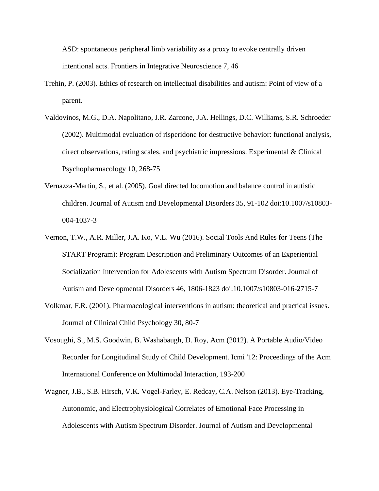ASD: spontaneous peripheral limb variability as a proxy to evoke centrally driven intentional acts. Frontiers in Integrative Neuroscience 7, 46

- Trehin, P. (2003). Ethics of research on intellectual disabilities and autism: Point of view of a parent.
- Valdovinos, M.G., D.A. Napolitano, J.R. Zarcone, J.A. Hellings, D.C. Williams, S.R. Schroeder (2002). Multimodal evaluation of risperidone for destructive behavior: functional analysis, direct observations, rating scales, and psychiatric impressions. Experimental & Clinical Psychopharmacology 10, 268-75
- Vernazza-Martin, S., et al. (2005). Goal directed locomotion and balance control in autistic children. Journal of Autism and Developmental Disorders 35, 91-102 doi:10.1007/s10803- 004-1037-3
- Vernon, T.W., A.R. Miller, J.A. Ko, V.L. Wu (2016). Social Tools And Rules for Teens (The START Program): Program Description and Preliminary Outcomes of an Experiential Socialization Intervention for Adolescents with Autism Spectrum Disorder. Journal of Autism and Developmental Disorders 46, 1806-1823 doi:10.1007/s10803-016-2715-7
- Volkmar, F.R. (2001). Pharmacological interventions in autism: theoretical and practical issues. Journal of Clinical Child Psychology 30, 80-7
- Vosoughi, S., M.S. Goodwin, B. Washabaugh, D. Roy, Acm (2012). A Portable Audio/Video Recorder for Longitudinal Study of Child Development. Icmi '12: Proceedings of the Acm International Conference on Multimodal Interaction, 193-200
- Wagner, J.B., S.B. Hirsch, V.K. Vogel-Farley, E. Redcay, C.A. Nelson (2013). Eye-Tracking, Autonomic, and Electrophysiological Correlates of Emotional Face Processing in Adolescents with Autism Spectrum Disorder. Journal of Autism and Developmental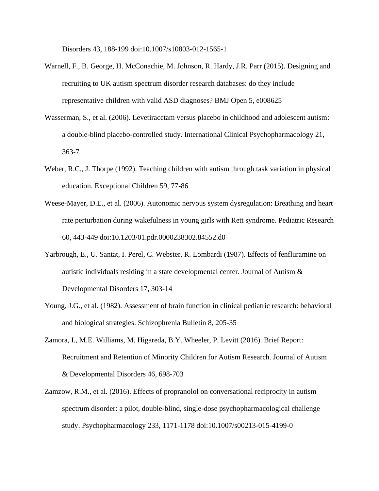Disorders 43, 188-199 doi:10.1007/s10803-012-1565-1

- Warnell, F., B. George, H. McConachie, M. Johnson, R. Hardy, J.R. Parr (2015). Designing and recruiting to UK autism spectrum disorder research databases: do they include representative children with valid ASD diagnoses? BMJ Open 5, e008625
- Wasserman, S., et al. (2006). Levetiracetam versus placebo in childhood and adolescent autism: a double-blind placebo-controlled study. International Clinical Psychopharmacology 21, 363-7
- Weber, R.C., J. Thorpe (1992). Teaching children with autism through task variation in physical education. Exceptional Children 59, 77-86
- Weese-Mayer, D.E., et al. (2006). Autonomic nervous system dysregulation: Breathing and heart rate perturbation during wakefulness in young girls with Rett syndrome. Pediatric Research 60, 443-449 doi:10.1203/01.pdr.0000238302.84552.d0
- Yarbrough, E., U. Santat, I. Perel, C. Webster, R. Lombardi (1987). Effects of fenfluramine on autistic individuals residing in a state developmental center. Journal of Autism & Developmental Disorders 17, 303-14
- Young, J.G., et al. (1982). Assessment of brain function in clinical pediatric research: behavioral and biological strategies. Schizophrenia Bulletin 8, 205-35
- Zamora, I., M.E. Williams, M. Higareda, B.Y. Wheeler, P. Levitt (2016). Brief Report: Recruitment and Retention of Minority Children for Autism Research. Journal of Autism & Developmental Disorders 46, 698-703
- Zamzow, R.M., et al. (2016). Effects of propranolol on conversational reciprocity in autism spectrum disorder: a pilot, double-blind, single-dose psychopharmacological challenge study. Psychopharmacology 233, 1171-1178 doi:10.1007/s00213-015-4199-0